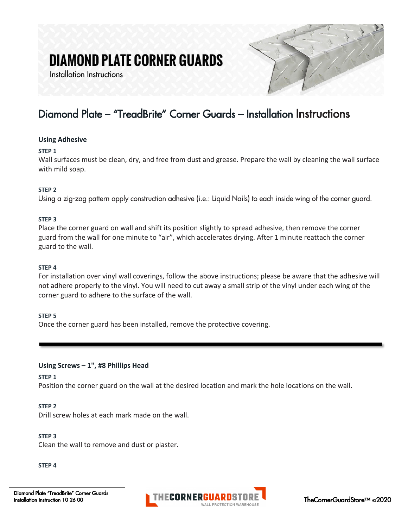# **DIAMOND PLATE CORNER GUARDS**

Installation Instructions



# Diamond Plate – "TreadBrite" Corner Guards – Installation Instructions

#### **Using Adhesive**

#### **STEP 1**

Wall surfaces must be clean, dry, and free from dust and grease. Prepare the wall by cleaning the wall surface with mild soap.

#### **STEP 2**

Using a zig-zag pattern apply construction adhesive (i.e.: Liquid Nails) to each inside wing of the corner guard.

#### **STEP 3**

Place the corner guard on wall and shift its position slightly to spread adhesive, then remove the corner guard from the wall for one minute to "air", which accelerates drying. After 1 minute reattach the corner guard to the wall.

#### **STEP 4**

For installation over vinyl wall coverings, follow the above instructions; please be aware that the adhesive will not adhere properly to the vinyl. You will need to cut away a small strip of the vinyl under each wing of the corner guard to adhere to the surface of the wall.

#### **STEP 5**

Once the corner guard has been installed, remove the protective covering.

#### **Using Screws – 1", #8 Phillips Head**

#### **STEP 1**

Position the corner guard on the wall at the desired location and mark the hole locations on the wall.

#### **STEP 2**

Drill screw holes at each mark made on the wall.

#### **STEP 3**

Clean the wall to remove and dust or plaster.

#### **STEP 4**

Diamond Plate "TreadBrite" Corner Guards Installation Instruction 10 26 00